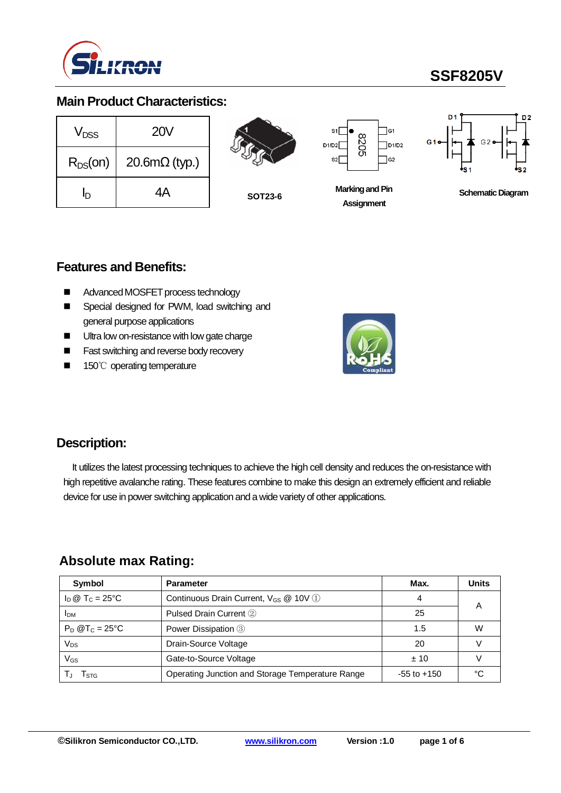

# **SSF8205V**

# **Main Product Characteristics:**

| V <sub>DSS</sub> | <b>20V</b>           |
|------------------|----------------------|
| $R_{DS}(on)$     | $20.6m\Omega$ (typ.) |
| İŊ               | 4Α                   |



**SOT23-6**



**Marking and Pin Assignment**



**Schematic Diagram** 

## **Features and Benefits:**

- Advanced MOSFET process technology
- Special designed for PWM, load switching and general purpose applications
- Ultra low on-resistance with low gate charge
- Fast switching and reverse body recovery
- 150℃ operating temperature



# **Description:**

It utilizes the latest processing techniques to achieve the high cell density and reduces the on-resistance with high repetitive avalanche rating. These features combine to make this design an extremely efficient and reliable device for use in power switching application and a wide variety of other applications.

### **Absolute max Rating:**

| Symbol                       | <b>Parameter</b>                                  | Max.            | <b>Units</b> |
|------------------------------|---------------------------------------------------|-----------------|--------------|
| $I_D @ T_C = 25^{\circ}C$    | Continuous Drain Current, V <sub>GS</sub> @ 10V 1 | 4               |              |
| <b>IDM</b>                   | Pulsed Drain Current 2                            | 25              | Α            |
| $P_D$ @T <sub>C</sub> = 25°C | Power Dissipation 3                               | 1.5             | W            |
| Vps                          | Drain-Source Voltage                              | 20              |              |
| VGs                          | Gate-to-Source Voltage                            | ±10             |              |
| l stg                        | Operating Junction and Storage Temperature Range  | $-55$ to $+150$ | ∘∩           |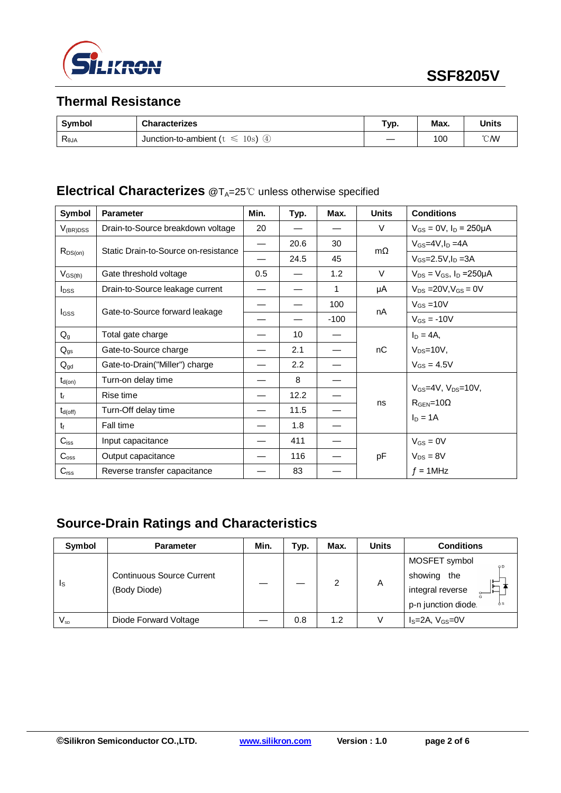

# **Thermal Resistance**

| Symbol                           | <b>Characterizes</b>                                  | Typ. | Max. | <b>Units</b>     |
|----------------------------------|-------------------------------------------------------|------|------|------------------|
| $\mathsf{R}_{\theta\mathsf{JA}}$ | $\circled{4}$<br>Junction-to-ambient (t)<br>10s)<br>≤ |      | 100  | $\mathcal{C}$ MV |

# **Electrical Characterizes** @T<sub>A</sub>=25℃ unless otherwise specified

| Symbol           | <b>Parameter</b>                     | Min.                     | Typ. | Max.   | <b>Units</b> | <b>Conditions</b>                     |
|------------------|--------------------------------------|--------------------------|------|--------|--------------|---------------------------------------|
| $V_{(BR)DSS}$    | Drain-to-Source breakdown voltage    | 20                       |      |        | V            | $V_{GS} = 0V$ , $I_D = 250 \mu A$     |
| $R_{DS(on)}$     | Static Drain-to-Source on-resistance | $\overline{\phantom{0}}$ | 20.6 | 30     | $m\Omega$    | $V_{GS}$ =4V, $I_D$ =4A               |
|                  |                                      |                          | 24.5 | 45     |              | $V_{GS} = 2.5V$ , $I_D = 3A$          |
| $V_{GS(th)}$     | Gate threshold voltage               | 0.5                      |      | 1.2    | $\vee$       | $V_{DS} = V_{GS}$ , $I_D = 250 \mu A$ |
| $I_{DSS}$        | Drain-to-Source leakage current      |                          |      | 1      | μA           | $V_{DS}$ = 20V, $V_{GS}$ = 0V         |
|                  |                                      |                          |      | 100    |              | $V_{GS} = 10V$                        |
| <b>I</b> GSS     | Gate-to-Source forward leakage       |                          |      | $-100$ | nA           | $V_{GS} = -10V$                       |
| $Q_{q}$          | Total gate charge                    |                          | 10   |        |              | $I_D = 4A$ ,                          |
| $Q_{gs}$         | Gate-to-Source charge                |                          | 2.1  |        | nC           | $V_{DS} = 10V$ ,                      |
| $Q_{gd}$         | Gate-to-Drain("Miller") charge       |                          | 2.2  |        |              | $V_{GS} = 4.5V$                       |
| $t_{d(on)}$      | Turn-on delay time                   |                          | 8    |        |              | $V_{GS}$ =4V, $V_{DS}$ =10V,          |
| $t_{r}$          | Rise time                            |                          | 12.2 |        |              |                                       |
| $t_{d(off)}$     | Turn-Off delay time                  |                          | 11.5 |        | ns           | $RGEN=10\Omega$<br>$I_D = 1A$         |
| $t_{\rm f}$      | Fall time                            |                          | 1.8  |        |              |                                       |
| $C_{iss}$        | Input capacitance                    |                          | 411  |        | pF           | $V_{GS} = 0V$                         |
| $C_{\rm oss}$    | Output capacitance                   |                          | 116  |        |              | $V_{DS} = 8V$                         |
| $C_{\text{rss}}$ | Reverse transfer capacitance         |                          | 83   |        |              | $f = 1$ MHz                           |

# **Source-Drain Ratings and Characteristics**

| Symbol                  | <b>Parameter</b>                                 | Min. | Typ. | Max. | <b>Units</b> | <b>Conditions</b>                                                                               |
|-------------------------|--------------------------------------------------|------|------|------|--------------|-------------------------------------------------------------------------------------------------|
| $\mathsf{I}_\mathsf{S}$ | <b>Continuous Source Current</b><br>(Body Diode) |      |      | 2    | A            | MOSFET symbol<br>O <sub>D</sub><br>showing the<br>integral reverse<br>p-n junction diode.<br>δs |
| $V_{\textrm{SD}}$       | Diode Forward Voltage                            |      | 0.8  | 1.2  |              | $I_S = 2A$ , $V_{GS} = 0V$                                                                      |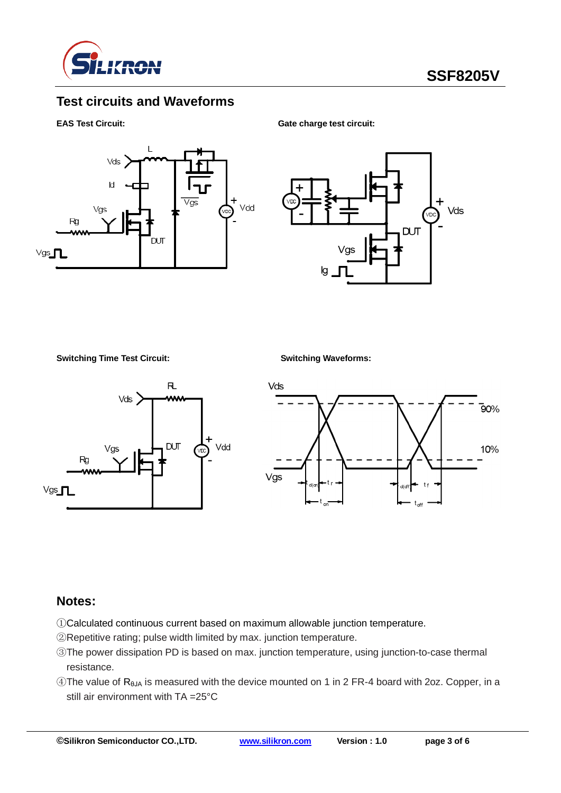

# **Test circuits and Waveforms**

#### **EAS Test Circuit:** Gate charge test circuit:





**Switching Time Test Circuit: Switching Waveforms:**





#### **Notes:**

- ①Calculated continuous current based on maximum allowable junction temperature.
- ②Repetitive rating; pulse width limited by max. junction temperature.
- ③The power dissipation PD is based on max. junction temperature, using junction-to-case thermal resistance.
- $\circledA$ The value of R<sub>θJA</sub> is measured with the device mounted on 1 in 2 FR-4 board with 2oz. Copper, in a still air environment with TA =25°C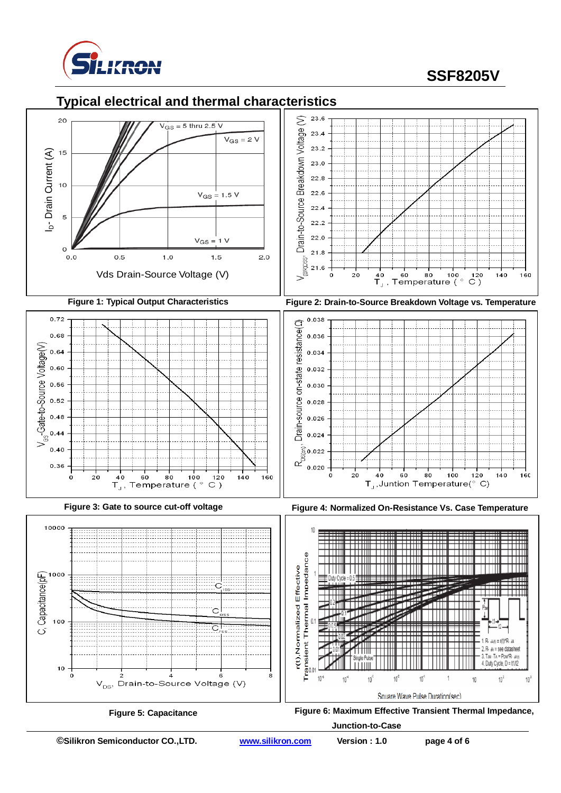

# **SSF8205V**



**Figure 5: Capacitance Figure 6: Maximum Effective Transient Thermal Impedance,** 

**Junction-to-Case**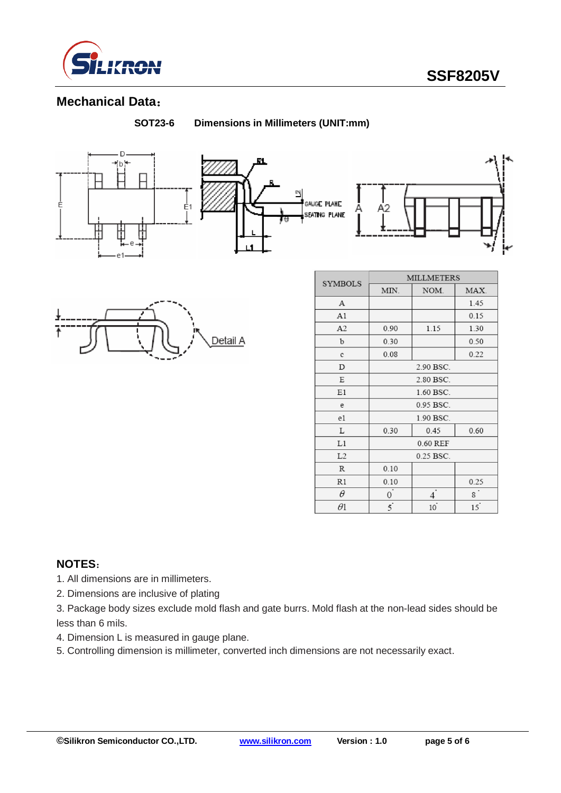

# **Mechanical Data**:

**SOT23-6 Dimensions in Millimeters (UNIT:mm)**







| <b>SYMBOLS</b> | <b>MILLMETERS</b> |      |                |  |  |  |
|----------------|-------------------|------|----------------|--|--|--|
|                | MIN.              | NOM. | MAX.           |  |  |  |
| А              |                   |      | 1.45           |  |  |  |
| A1             |                   |      | 0.15           |  |  |  |
| A <sub>2</sub> | 0.90              | 1.15 | 1.30           |  |  |  |
| b              | 0.30              |      |                |  |  |  |
| c              | 0.08              |      | 0.22           |  |  |  |
| D              | 2.90 BSC.         |      |                |  |  |  |
| Е              | 2.80 BSC.         |      |                |  |  |  |
| E1             | 1.60 BSC.         |      |                |  |  |  |
| e              | 0.95 BSC.         |      |                |  |  |  |
| e1             | 1.90 BSC.         |      |                |  |  |  |
| L              | 0.30              | 0.60 |                |  |  |  |
| L1             | 0.60 REF          |      |                |  |  |  |
| L2             | 0.25 BSC.         |      |                |  |  |  |
| R              | 0.10              |      |                |  |  |  |
| R1             | 0.10              |      | 0.25           |  |  |  |
| θ              | 0                 |      | 8 <sup>°</sup> |  |  |  |
| $\theta 1$     | $\overline{5}$    | 10   | 15             |  |  |  |

### **NOTES**:

- 1. All dimensions are in millimeters.
- 2. Dimensions are inclusive of plating
- 3. Package body sizes exclude mold flash and gate burrs. Mold flash at the non-lead sides should be less than 6 mils.
- 4. Dimension L is measured in gauge plane.
- 5. Controlling dimension is millimeter, converted inch dimensions are not necessarily exact.